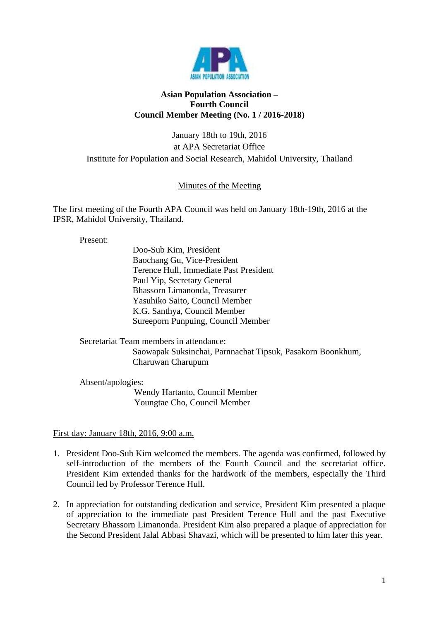

## **Asian Population Association – Fourth Council Council Member Meeting (No. 1 / 2016-2018)**

January 18th to 19th, 2016 at APA Secretariat Office Institute for Population and Social Research, Mahidol University, Thailand

## Minutes of the Meeting

The first meeting of the Fourth APA Council was held on January 18th-19th, 2016 at the IPSR, Mahidol University, Thailand.

Present:

Doo-Sub Kim, President Baochang Gu, Vice-President Terence Hull, Immediate Past President Paul Yip, Secretary General Bhassorn Limanonda, Treasurer Yasuhiko Saito, Council Member K.G. Santhya, Council Member Sureeporn Punpuing, Council Member

Secretariat Team members in attendance: Saowapak Suksinchai, Parnnachat Tipsuk, Pasakorn Boonkhum, Charuwan Charupum

Absent/apologies:

 Wendy Hartanto, Council Member Youngtae Cho, Council Member

First day: January 18th, 2016, 9:00 a.m.

- 1. President Doo-Sub Kim welcomed the members. The agenda was confirmed, followed by self-introduction of the members of the Fourth Council and the secretariat office. President Kim extended thanks for the hardwork of the members, especially the Third Council led by Professor Terence Hull.
- 2. In appreciation for outstanding dedication and service, President Kim presented a plaque of appreciation to the immediate past President Terence Hull and the past Executive Secretary Bhassorn Limanonda. President Kim also prepared a plaque of appreciation for the Second President Jalal Abbasi Shavazi, which will be presented to him later this year.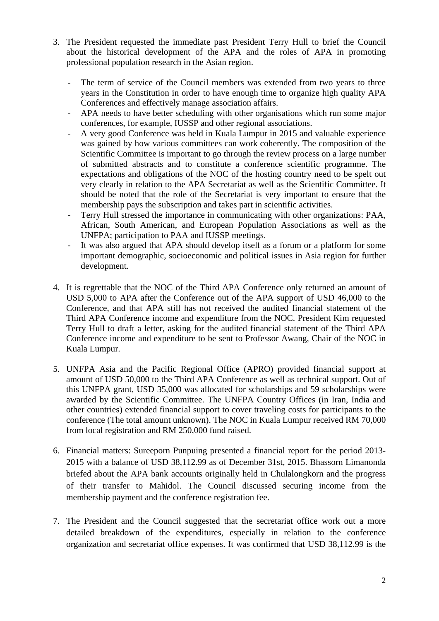- 3. The President requested the immediate past President Terry Hull to brief the Council about the historical development of the APA and the roles of APA in promoting professional population research in the Asian region.
	- The term of service of the Council members was extended from two years to three years in the Constitution in order to have enough time to organize high quality APA Conferences and effectively manage association affairs.
	- *-* APA needs to have better scheduling with other organisations which run some major conferences, for example, IUSSP and other regional associations.
	- *-* A very good Conference was held in Kuala Lumpur in 2015 and valuable experience was gained by how various committees can work coherently. The composition of the Scientific Committee is important to go through the review process on a large number of submitted abstracts and to constitute a conference scientific programme. The expectations and obligations of the NOC of the hosting country need to be spelt out very clearly in relation to the APA Secretariat as well as the Scientific Committee. It should be noted that the role of the Secretariat is very important to ensure that the membership pays the subscription and takes part in scientific activities.
	- *-* Terry Hull stressed the importance in communicating with other organizations: PAA, African, South American, and European Population Associations as well as the UNFPA; participation to PAA and IUSSP meetings.
	- *-* It was also argued that APA should develop itself as a forum or a platform for some important demographic, socioeconomic and political issues in Asia region for further development.
- 4. It is regrettable that the NOC of the Third APA Conference only returned an amount of USD 5,000 to APA after the Conference out of the APA support of USD 46,000 to the Conference, and that APA still has not received the audited financial statement of the Third APA Conference income and expenditure from the NOC. President Kim requested Terry Hull to draft a letter, asking for the audited financial statement of the Third APA Conference income and expenditure to be sent to Professor Awang, Chair of the NOC in Kuala Lumpur.
- 5. UNFPA Asia and the Pacific Regional Office (APRO) provided financial support at amount of USD 50,000 to the Third APA Conference as well as technical support. Out of this UNFPA grant, USD 35,000 was allocated for scholarships and 59 scholarships were awarded by the Scientific Committee. The UNFPA Country Offices (in Iran, India and other countries) extended financial support to cover traveling costs for participants to the conference (The total amount unknown). The NOC in Kuala Lumpur received RM 70,000 from local registration and RM 250,000 fund raised.
- 6. Financial matters: Sureeporn Punpuing presented a financial report for the period 2013- 2015 with a balance of USD 38,112.99 as of December 31st, 2015. Bhassorn Limanonda briefed about the APA bank accounts originally held in Chulalongkorn and the progress of their transfer to Mahidol. The Council discussed securing income from the membership payment and the conference registration fee.
- 7. The President and the Council suggested that the secretariat office work out a more detailed breakdown of the expenditures, especially in relation to the conference organization and secretariat office expenses. It was confirmed that USD 38,112.99 is the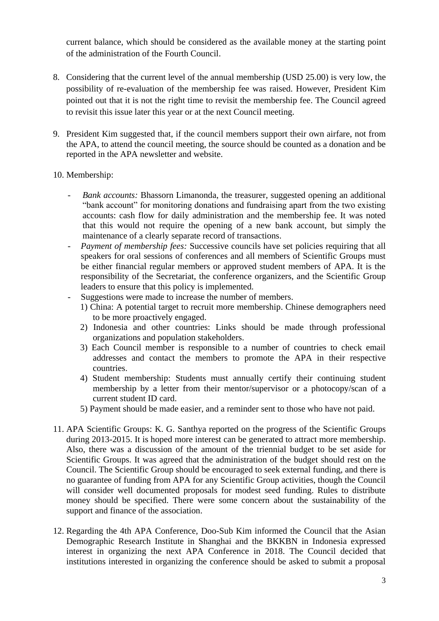current balance, which should be considered as the available money at the starting point of the administration of the Fourth Council.

- 8. Considering that the current level of the annual membership (USD 25.00) is very low, the possibility of re-evaluation of the membership fee was raised. However, President Kim pointed out that it is not the right time to revisit the membership fee. The Council agreed to revisit this issue later this year or at the next Council meeting.
- 9. President Kim suggested that, if the council members support their own airfare, not from the APA, to attend the council meeting, the source should be counted as a donation and be reported in the APA newsletter and website.
- 10. Membership:
	- *Bank accounts:* Bhassorn Limanonda, the treasurer, suggested opening an additional "bank account" for monitoring donations and fundraising apart from the two existing accounts: cash flow for daily administration and the membership fee. It was noted that this would not require the opening of a new bank account, but simply the maintenance of a clearly separate record of transactions.
	- *- Payment of membership fees:* Successive councils have set policies requiring that all speakers for oral sessions of conferences and all members of Scientific Groups must be either financial regular members or approved student members of APA. It is the responsibility of the Secretariat, the conference organizers, and the Scientific Group leaders to ensure that this policy is implemented.
	- Suggestions were made to increase the number of members.
		- 1) China: A potential target to recruit more membership. Chinese demographers need to be more proactively engaged.
		- 2) Indonesia and other countries: Links should be made through professional organizations and population stakeholders.
		- 3) Each Council member is responsible to a number of countries to check email addresses and contact the members to promote the APA in their respective countries.
		- 4) Student membership: Students must annually certify their continuing student membership by a letter from their mentor/supervisor or a photocopy/scan of a current student ID card.
		- 5) Payment should be made easier, and a reminder sent to those who have not paid.
- 11. APA Scientific Groups: K. G. Santhya reported on the progress of the Scientific Groups during 2013-2015. It is hoped more interest can be generated to attract more membership. Also, there was a discussion of the amount of the triennial budget to be set aside for Scientific Groups. It was agreed that the administration of the budget should rest on the Council. The Scientific Group should be encouraged to seek external funding, and there is no guarantee of funding from APA for any Scientific Group activities, though the Council will consider well documented proposals for modest seed funding. Rules to distribute money should be specified. There were some concern about the sustainability of the support and finance of the association.
- 12. Regarding the 4th APA Conference, Doo-Sub Kim informed the Council that the Asian Demographic Research Institute in Shanghai and the BKKBN in Indonesia expressed interest in organizing the next APA Conference in 2018. The Council decided that institutions interested in organizing the conference should be asked to submit a proposal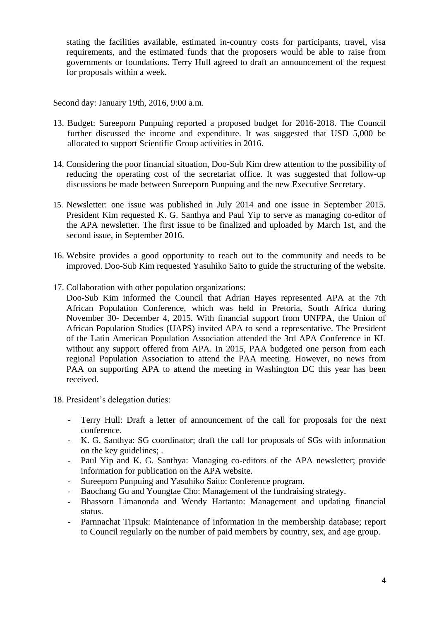stating the facilities available, estimated in-country costs for participants, travel, visa requirements, and the estimated funds that the proposers would be able to raise from governments or foundations. Terry Hull agreed to draft an announcement of the request for proposals within a week.

## Second day: January 19th, 2016, 9:00 a.m.

- 13. Budget: Sureeporn Punpuing reported a proposed budget for 2016-2018. The Council further discussed the income and expenditure. It was suggested that USD 5,000 be allocated to support Scientific Group activities in 2016.
- 14. Considering the poor financial situation, Doo-Sub Kim drew attention to the possibility of reducing the operating cost of the secretariat office. It was suggested that follow-up discussions be made between Sureeporn Punpuing and the new Executive Secretary.
- 15. Newsletter: one issue was published in July 2014 and one issue in September 2015. President Kim requested K. G. Santhya and Paul Yip to serve as managing co-editor of the APA newsletter. The first issue to be finalized and uploaded by March 1st, and the second issue, in September 2016.
- 16. Website provides a good opportunity to reach out to the community and needs to be improved. Doo-Sub Kim requested Yasuhiko Saito to guide the structuring of the website.
- 17. Collaboration with other population organizations:
	- Doo-Sub Kim informed the Council that Adrian Hayes represented APA at the 7th African Population Conference, which was held in Pretoria, South Africa during November 30- December 4, 2015. With financial support from UNFPA, the Union of African Population Studies (UAPS) invited APA to send a representative. The President of the Latin American Population Association attended the 3rd APA Conference in KL without any support offered from APA. In 2015, PAA budgeted one person from each regional Population Association to attend the PAA meeting. However, no news from PAA on supporting APA to attend the meeting in Washington DC this year has been received.
- 18. President's delegation duties:
	- *-* Terry Hull: Draft a letter of announcement of the call for proposals for the next conference.
	- *-* K. G. Santhya: SG coordinator; draft the call for proposals of SGs with information on the key guidelines; .
	- *-* Paul Yip and K. G. Santhya: Managing co-editors of the APA newsletter; provide information for publication on the APA website.
	- *-* Sureeporn Punpuing and Yasuhiko Saito: Conference program.
	- *-* Baochang Gu and Youngtae Cho: Management of the fundraising strategy.
	- *-* Bhassorn Limanonda and Wendy Hartanto: Management and updating financial status.
	- *-* Parnnachat Tipsuk: Maintenance of information in the membership database; report to Council regularly on the number of paid members by country, sex, and age group.